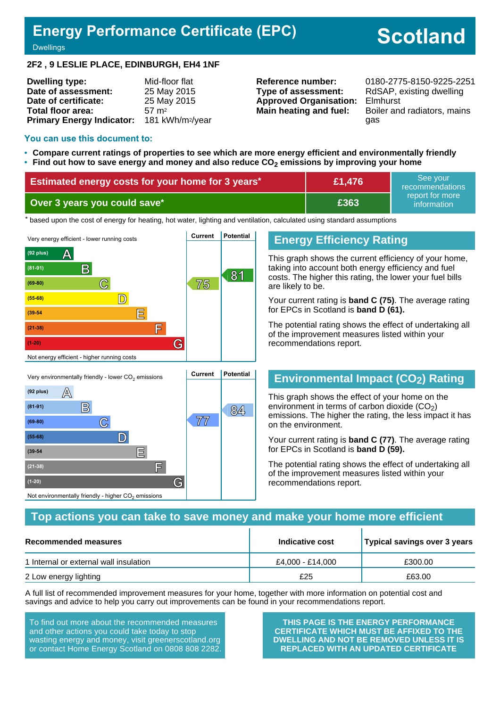# **Energy Performance Certificate (EPC)**

# **Scotland**

**Dwellings** 

#### **2F2 , 9 LESLIE PLACE, EDINBURGH, EH4 1NF**

| <b>Dwelling type:</b>            | Mid-floor flat               |
|----------------------------------|------------------------------|
| Date of assessment:              | 25 May 2015                  |
| Date of certificate:             | 25 May 2015                  |
| Total floor area:                | 57 m <sup>2</sup>            |
| <b>Primary Energy Indicator:</b> | 181 kWh/m <sup>2</sup> /year |

**Type of assessment:** RdSAP, existing dwelling **Approved Organisation:** Elmhurst

**Reference number:** 0180-2775-8150-9225-2251 **Main heating and fuel:** Boiler and radiators, mains gas

#### **You can use this document to:**

- **Compare current ratings of properties to see which are more energy efficient and environmentally friendly**
- **Find out how to save energy and money and also reduce CO2 emissions by improving your home**

| Estimated energy costs for your home for 3 years* | £1,476 | See vour<br>recommendations                 |
|---------------------------------------------------|--------|---------------------------------------------|
| Over 3 years you could save*                      | £363   | report for more<br>information <sup>1</sup> |

the based upon the cost of energy for heating, hot water, lighting and ventilation, calculated using standard assumptions



**B 84 (81-91)**

**(69-80) C 77**

**(55-68) D**

**(39-54 E**

**(21-38) F**

Not environmentally friendly - higher  $\mathrm{CO}_2$  emissions

**(1-20) G**

# **Energy Efficiency Rating**

This graph shows the current efficiency of your home, taking into account both energy efficiency and fuel costs. The higher this rating, the lower your fuel bills are likely to be.

Your current rating is **band C (75)**. The average rating for EPCs in Scotland is **band D (61).**

The potential rating shows the effect of undertaking all of the improvement measures listed within your recommendations report.

## **Environmental Impact (CO2) Rating**

This graph shows the effect of your home on the environment in terms of carbon dioxide  $(CO<sub>2</sub>)$ emissions. The higher the rating, the less impact it has on the environment.

Your current rating is **band C (77)**. The average rating for EPCs in Scotland is **band D (59).**

The potential rating shows the effect of undertaking all of the improvement measures listed within your recommendations report.

#### **Top actions you can take to save money and make your home more efficient**

| Recommended measures                   | Indicative cost  | Typical savings over 3 years |
|----------------------------------------|------------------|------------------------------|
| 1 Internal or external wall insulation | £4.000 - £14.000 | £300.00                      |
| 2 Low energy lighting                  | £25              | £63.00                       |

A full list of recommended improvement measures for your home, together with more information on potential cost and savings and advice to help you carry out improvements can be found in your recommendations report.

To find out more about the recommended measures and other actions you could take today to stop wasting energy and money, visit greenerscotland.org or contact Home Energy Scotland on 0808 808 2282.

**THIS PAGE IS THE ENERGY PERFORMANCE CERTIFICATE WHICH MUST BE AFFIXED TO THE DWELLING AND NOT BE REMOVED UNLESS IT IS REPLACED WITH AN UPDATED CERTIFICATE**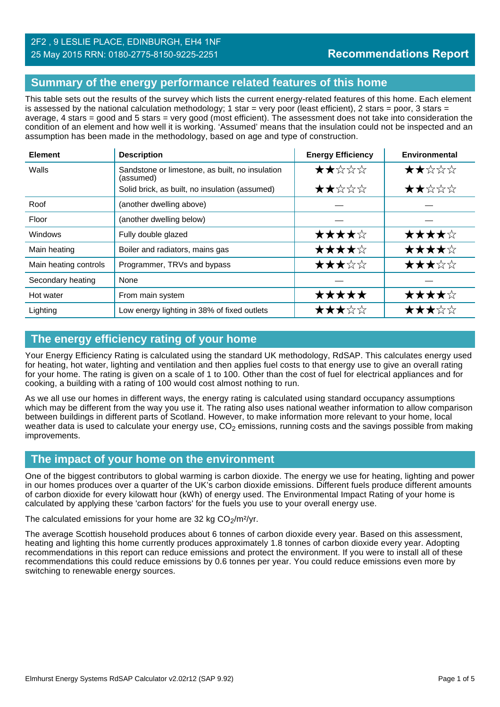## **Summary of the energy performance related features of this home**

This table sets out the results of the survey which lists the current energy-related features of this home. Each element is assessed by the national calculation methodology; 1 star = very poor (least efficient), 2 stars = poor, 3 stars = average, 4 stars = good and 5 stars = very good (most efficient). The assessment does not take into consideration the condition of an element and how well it is working. 'Assumed' means that the insulation could not be inspected and an assumption has been made in the methodology, based on age and type of construction.

| <b>Element</b>        | <b>Description</b>                                           | <b>Energy Efficiency</b> | Environmental |
|-----------------------|--------------------------------------------------------------|--------------------------|---------------|
| Walls                 | Sandstone or limestone, as built, no insulation<br>(assumed) | ★★☆☆☆                    | ★★☆☆☆         |
|                       | Solid brick, as built, no insulation (assumed)               | ★★☆☆☆                    | ★★☆☆☆         |
| Roof                  | (another dwelling above)                                     |                          |               |
| Floor                 | (another dwelling below)                                     |                          |               |
| Windows               | Fully double glazed                                          | ★★★★☆                    | ★★★★☆         |
| Main heating          | Boiler and radiators, mains gas                              | ★★★★☆                    | ★★★★☆         |
| Main heating controls | Programmer, TRVs and bypass                                  | ★★★☆☆                    | ★★★☆☆         |
| Secondary heating     | None                                                         |                          |               |
| Hot water             | From main system                                             | ★★★★★                    | ★★★★☆         |
| Lighting              | Low energy lighting in 38% of fixed outlets                  | ★★★☆☆                    | ★★★☆☆         |

# **The energy efficiency rating of your home**

Your Energy Efficiency Rating is calculated using the standard UK methodology, RdSAP. This calculates energy used for heating, hot water, lighting and ventilation and then applies fuel costs to that energy use to give an overall rating for your home. The rating is given on a scale of 1 to 100. Other than the cost of fuel for electrical appliances and for cooking, a building with a rating of 100 would cost almost nothing to run.

As we all use our homes in different ways, the energy rating is calculated using standard occupancy assumptions which may be different from the way you use it. The rating also uses national weather information to allow comparison between buildings in different parts of Scotland. However, to make information more relevant to your home, local weather data is used to calculate your energy use,  $CO<sub>2</sub>$  emissions, running costs and the savings possible from making improvements.

## **The impact of your home on the environment**

One of the biggest contributors to global warming is carbon dioxide. The energy we use for heating, lighting and power in our homes produces over a quarter of the UK's carbon dioxide emissions. Different fuels produce different amounts of carbon dioxide for every kilowatt hour (kWh) of energy used. The Environmental Impact Rating of your home is calculated by applying these 'carbon factors' for the fuels you use to your overall energy use.

The calculated emissions for your home are 32 kg  $CO<sub>2</sub>/m<sup>2</sup>/yr$ .

The average Scottish household produces about 6 tonnes of carbon dioxide every year. Based on this assessment, heating and lighting this home currently produces approximately 1.8 tonnes of carbon dioxide every year. Adopting recommendations in this report can reduce emissions and protect the environment. If you were to install all of these recommendations this could reduce emissions by 0.6 tonnes per year. You could reduce emissions even more by switching to renewable energy sources.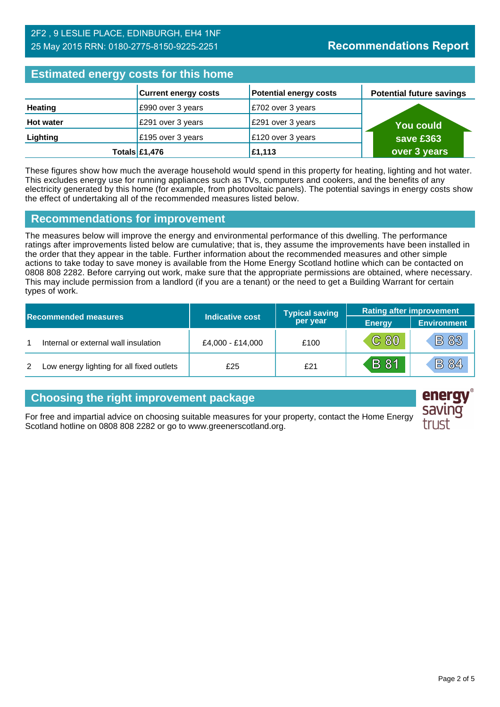# **Estimated energy costs for this home**

| <b>Experienced virtually voors for this from v</b> |                             |                               |                                 |  |
|----------------------------------------------------|-----------------------------|-------------------------------|---------------------------------|--|
|                                                    | <b>Current energy costs</b> | <b>Potential energy costs</b> | <b>Potential future savings</b> |  |
| <b>Heating</b>                                     | £990 over 3 years           | E702 over 3 years             |                                 |  |
| <b>Hot water</b>                                   | £291 over 3 years           | £291 over 3 years             | <b>You could</b>                |  |
| Lighting                                           | £195 over 3 years           | £120 over 3 years             | save £363                       |  |
|                                                    | Totals $£1,476$             | £1,113                        | over 3 years                    |  |

These figures show how much the average household would spend in this property for heating, lighting and hot water. This excludes energy use for running appliances such as TVs, computers and cookers, and the benefits of any electricity generated by this home (for example, from photovoltaic panels). The potential savings in energy costs show the effect of undertaking all of the recommended measures listed below.

#### **Recommendations for improvement**

The measures below will improve the energy and environmental performance of this dwelling. The performance ratings after improvements listed below are cumulative; that is, they assume the improvements have been installed in the order that they appear in the table. Further information about the recommended measures and other simple actions to take today to save money is available from the Home Energy Scotland hotline which can be contacted on 0808 808 2282. Before carrying out work, make sure that the appropriate permissions are obtained, where necessary. This may include permission from a landlord (if you are a tenant) or the need to get a Building Warrant for certain types of work.

| <b>Recommended measures</b> |                                           |                        | <b>Typical saving</b> | <b>Rating after improvement</b> |                    |
|-----------------------------|-------------------------------------------|------------------------|-----------------------|---------------------------------|--------------------|
|                             |                                           | <b>Indicative cost</b> | per year              | <b>Energy</b>                   | <b>Environment</b> |
|                             | Internal or external wall insulation      | £4,000 - £14,000       | £100                  | $\overline{C}$ 80               | <b>B 83</b>        |
| 2                           | Low energy lighting for all fixed outlets | £25                    | £21                   | <b>B</b> 81                     | <b>B 84</b>        |

## **Choosing the right improvement package**

For free and impartial advice on choosing suitable measures for your property, contact the Home Energy Scotland hotline on 0808 808 2282 or go to www.greenerscotland.org.

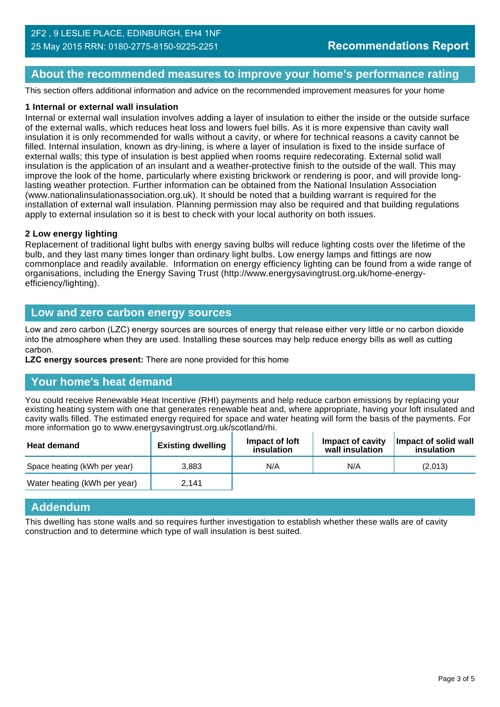#### **About the recommended measures to improve your home's performance rating**

This section offers additional information and advice on the recommended improvement measures for your home

#### **1 Internal or external wall insulation**

Internal or external wall insulation involves adding a layer of insulation to either the inside or the outside surface of the external walls, which reduces heat loss and lowers fuel bills. As it is more expensive than cavity wall insulation it is only recommended for walls without a cavity, or where for technical reasons a cavity cannot be filled. Internal insulation, known as dry-lining, is where a layer of insulation is fixed to the inside surface of external walls; this type of insulation is best applied when rooms require redecorating. External solid wall insulation is the application of an insulant and a weather-protective finish to the outside of the wall. This may improve the look of the home, particularly where existing brickwork or rendering is poor, and will provide longlasting weather protection. Further information can be obtained from the National Insulation Association (www.nationalinsulationassociation.org.uk). It should be noted that a building warrant is required for the installation of external wall insulation. Planning permission may also be required and that building regulations apply to external insulation so it is best to check with your local authority on both issues.

#### **2 Low energy lighting**

Replacement of traditional light bulbs with energy saving bulbs will reduce lighting costs over the lifetime of the bulb, and they last many times longer than ordinary light bulbs. Low energy lamps and fittings are now commonplace and readily available. Information on energy efficiency lighting can be found from a wide range of organisations, including the Energy Saving Trust (http://www.energysavingtrust.org.uk/home-energyefficiency/lighting).

#### **Low and zero carbon energy sources**

Low and zero carbon (LZC) energy sources are sources of energy that release either very little or no carbon dioxide into the atmosphere when they are used. Installing these sources may help reduce energy bills as well as cutting carbon.

**LZC energy sources present:** There are none provided for this home

#### **Your home's heat demand**

You could receive Renewable Heat Incentive (RHI) payments and help reduce carbon emissions by replacing your existing heating system with one that generates renewable heat and, where appropriate, having your loft insulated and cavity walls filled. The estimated energy required for space and water heating will form the basis of the payments. For more information go to www.energysavingtrust.org.uk/scotland/rhi.

| <b>Heat demand</b>           | <b>Existing dwelling</b> | Impact of loft<br>insulation | Impact of cavity<br>wall insulation | Impact of solid wall<br>insulation |
|------------------------------|--------------------------|------------------------------|-------------------------------------|------------------------------------|
| Space heating (kWh per year) | 3.883                    | N/A                          | N/A                                 | (2,013)                            |
| Water heating (kWh per year) | 2.141                    |                              |                                     |                                    |

#### **Addendum**

This dwelling has stone walls and so requires further investigation to establish whether these walls are of cavity construction and to determine which type of wall insulation is best suited.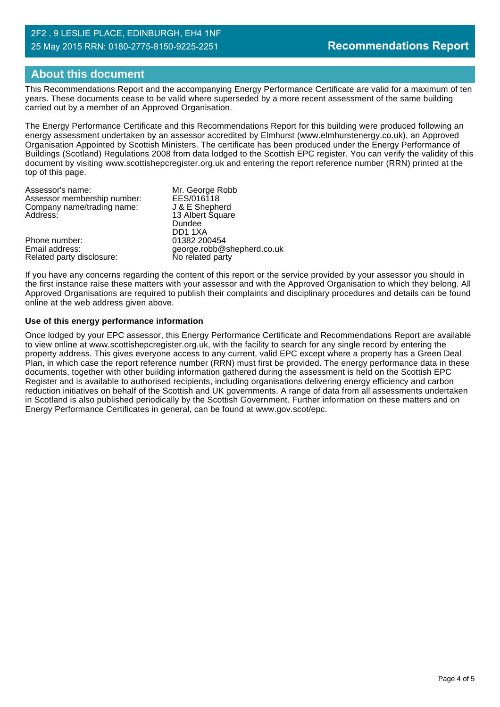# **About this document**

This Recommendations Report and the accompanying Energy Performance Certificate are valid for a maximum of ten years. These documents cease to be valid where superseded by a more recent assessment of the same building carried out by a member of an Approved Organisation.

The Energy Performance Certificate and this Recommendations Report for this building were produced following an energy assessment undertaken by an assessor accredited by Elmhurst (www.elmhurstenergy.co.uk), an Approved Organisation Appointed by Scottish Ministers. The certificate has been produced under the Energy Performance of Buildings (Scotland) Regulations 2008 from data lodged to the Scottish EPC register. You can verify the validity of this document by visiting www.scottishepcregister.org.uk and entering the report reference number (RRN) printed at the top of this page.

| Mr. George Robb            |
|----------------------------|
| EES/016118                 |
| J & E Shepherd             |
| 13 Albert Square           |
| Dundee                     |
| DD11XA                     |
| 01382 200454               |
| george.robb@shepherd.co.uk |
| No related party           |
|                            |

If you have any concerns regarding the content of this report or the service provided by your assessor you should in the first instance raise these matters with your assessor and with the Approved Organisation to which they belong. All Approved Organisations are required to publish their complaints and disciplinary procedures and details can be found online at the web address given above.

#### **Use of this energy performance information**

Once lodged by your EPC assessor, this Energy Performance Certificate and Recommendations Report are available to view online at www.scottishepcregister.org.uk, with the facility to search for any single record by entering the property address. This gives everyone access to any current, valid EPC except where a property has a Green Deal Plan, in which case the report reference number (RRN) must first be provided. The energy performance data in these documents, together with other building information gathered during the assessment is held on the Scottish EPC Register and is available to authorised recipients, including organisations delivering energy efficiency and carbon reduction initiatives on behalf of the Scottish and UK governments. A range of data from all assessments undertaken in Scotland is also published periodically by the Scottish Government. Further information on these matters and on Energy Performance Certificates in general, can be found at www.gov.scot/epc.